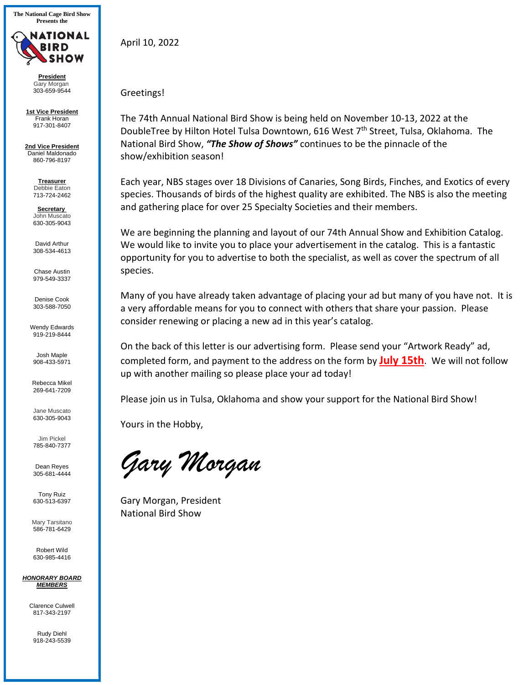**The National Cage Bird Show Presents the**



**President**  Gary Morgan 303-659-9544

**1st Vice President** Frank Horan 917-301-8407

**2nd Vice President** Daniel Maldonado 860-796-8197

> **Treasurer**  Debbie Eaton 713-724-2462

> **Secretary**  John Muscato 630-305-9043

David Arthur 308-534-4613

Chase Austin 979-549-3337

Denise Cook 303-588-7050

Wendy Edwards 919-219-8444

Josh Maple 908-433-5971

Rebecca Mikel 269-641-7209

Jane Muscato 630-305-9043

Jim Pickel 785-840-7377

Dean Reyes 305-681-4444

Tony Ruiz 630-513-6397

Mary Tarsitano 586-781-6429

Robert Wild 630-985-4416

*HONORARY BOARD MEMBERS* 

Clarence Culwell 817-343-2197

Rudy Diehl 918-243-5539 April 10, 2022

## Greetings!

The 74th Annual National Bird Show is being held on November 10-13, 2022 at the DoubleTree by Hilton Hotel Tulsa Downtown, 616 West 7<sup>th</sup> Street, Tulsa, Oklahoma. The National Bird Show, *"The Show of Shows"* continues to be the pinnacle of the show/exhibition season!

Each year, NBS stages over 18 Divisions of Canaries, Song Birds, Finches, and Exotics of every species. Thousands of birds of the highest quality are exhibited. The NBS is also the meeting and gathering place for over 25 Specialty Societies and their members.

We are beginning the planning and layout of our 74th Annual Show and Exhibition Catalog. We would like to invite you to place your advertisement in the catalog. This is a fantastic opportunity for you to advertise to both the specialist, as well as cover the spectrum of all species.

Many of you have already taken advantage of placing your ad but many of you have not. It is a very affordable means for you to connect with others that share your passion. Please consider renewing or placing a new ad in this year's catalog.

On the back of this letter is our advertising form. Please send your "Artwork Ready" ad, completed form, and payment to the address on the form by **July 15th**. We will not follow up with another mailing so please place your ad today!

Please join us in Tulsa, Oklahoma and show your support for the National Bird Show!

Yours in the Hobby,

*Gary Morgan* 

Gary Morgan, President National Bird Show